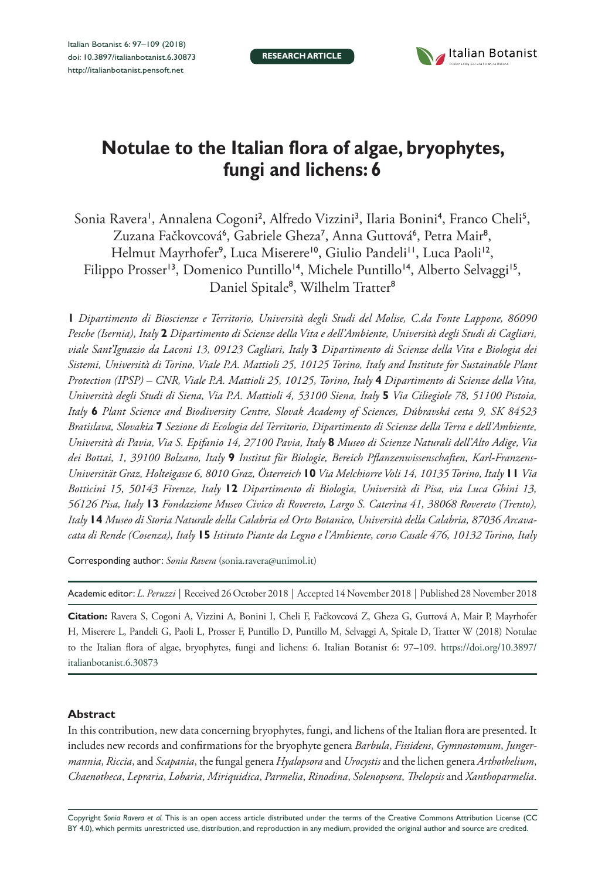**RESEARCH ARTICLE**



# **Notulae to the Italian flora of algae, bryophytes, fungi and lichens: 6**

Sonia Ravera', Annalena Cogoni<sup>2</sup>, Alfredo Vizzini<sup>3</sup>, Ilaria Bonini<sup>4</sup>, Franco Cheli<sup>5</sup>, Zuzana Fačkovcová<sup>6</sup>, Gabriele Gheza<sup>7</sup>, Anna Guttová<sup>6</sup>, Petra Mair<sup>8</sup>, Helmut Mayrhofer<sup>9</sup>, Luca Miserere<sup>10</sup>, Giulio Pandeli<sup>11</sup>, Luca Paoli<sup>12</sup>, Filippo Prosser<sup>13</sup>, Domenico Puntillo<sup>14</sup>, Michele Puntillo<sup>14</sup>, Alberto Selvaggi<sup>15</sup>, Daniel Spitale<sup>8</sup>, Wilhelm Tratter<sup>8</sup>

**1** *Dipartimento di Bioscienze e Territorio, Università degli Studi del Molise, C.da Fonte Lappone, 86090 Pesche (Isernia), Italy* **2** *Dipartimento di Scienze della Vita e dell'Ambiente, Università degli Studi di Cagliari, viale Sant'Ignazio da Laconi 13, 09123 Cagliari, Italy* **3** *Dipartimento di Scienze della Vita e Biologia dei Sistemi, Università di Torino, Viale P.A. Mattioli 25, 10125 Torino, Italy and Institute for Sustainable Plant Protection (IPSP) – CNR, Viale P.A. Mattioli 25, 10125, Torino, Italy* **4** *Dipartimento di Scienze della Vita, Università degli Studi di Siena, Via P.A. Mattioli 4, 53100 Siena, Italy* **5** *Via Ciliegiole 78, 51100 Pistoia, Italy* **6** *Plant Science and Biodiversity Centre, Slovak Academy of Sciences, Dúbravská cesta 9, SK 84523 Bratislava, Slovakia* **7** *Sezione di Ecologia del Territorio, Dipartimento di Scienze della Terra e dell'Ambiente, Università di Pavia, Via S. Epifanio 14, 27100 Pavia, Italy* **8** *Museo di Scienze Naturali dell'Alto Adige, Via dei Bottai, 1, 39100 Bolzano, Italy* **9** *Institut für Biologie, Bereich Pflanzenwissenschaften, Karl-Franzens-Universität Graz, Holteigasse 6, 8010 Graz, Österreich* **10** *Via Melchiorre Voli 14, 10135 Torino, Italy* **11** *Via Botticini 15, 50143 Firenze, Italy* **12** *Dipartimento di Biologia, Università di Pisa, via Luca Ghini 13, 56126 Pisa, Italy* **13** *Fondazione Museo Civico di Rovereto, Largo S. Caterina 41, 38068 Rovereto (Trento), Italy* **14** *Museo di Storia Naturale della Calabria ed Orto Botanico, Università della Calabria, 87036 Arcavacata di Rende (Cosenza), Italy* **15** *Istituto Piante da Legno e l'Ambiente, corso Casale 476, 10132 Torino, Italy*

Corresponding author: *Sonia Ravera* ([sonia.ravera@unimol.it](mailto:sonia.ravera@unimol.it))

Academic editor: *L. Peruzzi* | Received 26 October 2018 | Accepted 14 November 2018 | Published 28 November 2018

**Citation:** Ravera S, Cogoni A, Vizzini A, Bonini I, Cheli F, Fačkovcová Z, Gheza G, Guttová A, Mair P, Mayrhofer H, Miserere L, Pandeli G, Paoli L, Prosser F, Puntillo D, Puntillo M, Selvaggi A, Spitale D, Tratter W (2018) Notulae to the Italian flora of algae, bryophytes, fungi and lichens: 6. Italian Botanist 6: 97–109. [https://doi.org/10.3897/](https://doi.org/10.3897/italianbotanist.6.30873) [italianbotanist.6.30873](https://doi.org/10.3897/italianbotanist.6.30873)

# **Abstract**

In this contribution, new data concerning bryophytes, fungi, and lichens of the Italian flora are presented. It includes new records and confirmations for the bryophyte genera *Barbula*, *Fissidens*, *Gymnostomum*, *Jungermannia*, *Riccia*, and *Scapania*, the fungal genera *Hyalopsora* and *Urocystis* and the lichen genera *Arthothelium*, *Chaenotheca*, *Lepraria*, *Lobaria*, *Miriquidica*, *Parmelia*, *Rinodina*, *Solenopsora*, *Thelopsis* and *Xanthoparmelia*.

Copyright *Sonia Ravera et al.* This is an open access article distributed under the terms of the [Creative Commons Attribution License \(CC](http://creativecommons.org/licenses/by/4.0/)  [BY 4.0\)](http://creativecommons.org/licenses/by/4.0/), which permits unrestricted use, distribution, and reproduction in any medium, provided the original author and source are credited.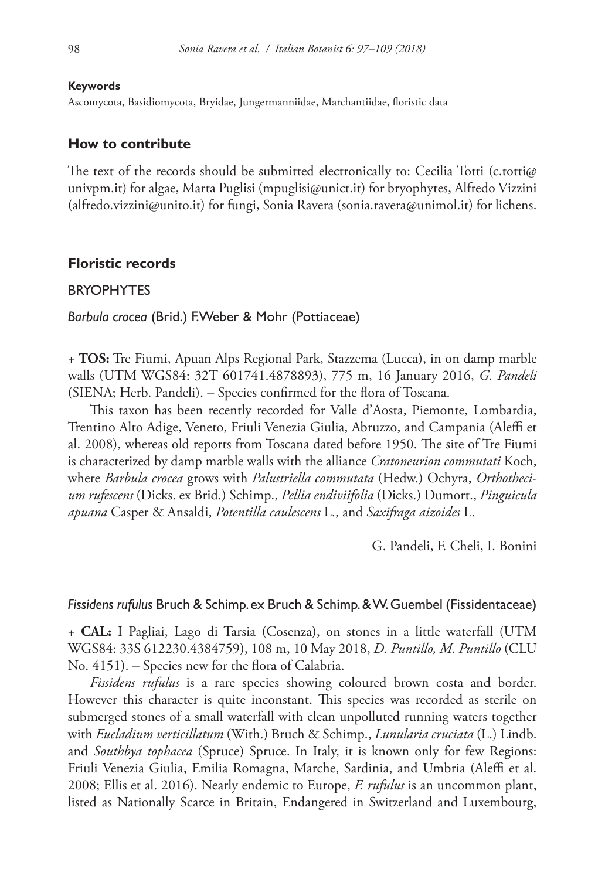#### **Keywords**

Ascomycota, Basidiomycota, Bryidae, Jungermanniidae, Marchantiidae, floristic data

#### **How to contribute**

The text of the records should be submitted electronically to: Cecilia Totti (c.totti $\varphi$ [univpm.it\)](mailto:c.totti@univpm.it) for algae, Marta Puglisi [\(mpuglisi@unict.it](mailto:mpuglisi@unict.it)) for bryophytes, Alfredo Vizzini ([alfredo.vizzini@unito.it](mailto:alfredo.vizzini@unito.it)) for fungi, Sonia Ravera [\(sonia.ravera@unimol.it\)](mailto:sonia.ravera@unimol.it) for lichens.

#### **Floristic records**

#### **BRYOPHYTES**

*Barbula crocea* (Brid.) F.Weber & Mohr (Pottiaceae)

+ **TOS:** Tre Fiumi, Apuan Alps Regional Park, Stazzema (Lucca), in on damp marble walls (UTM WGS84: 32T 601741.4878893), 775 m, 16 January 2016, *G. Pandeli* (SIENA; Herb. Pandeli). – Species confirmed for the flora of Toscana.

This taxon has been recently recorded for Valle d'Aosta, Piemonte, Lombardia, Trentino Alto Adige, Veneto, Friuli Venezia Giulia, Abruzzo, and Campania (Aleffi et al. 2008), whereas old reports from Toscana dated before 1950. The site of Tre Fiumi is characterized by damp marble walls with the alliance *Cratoneurion commutati* Koch, where *Barbula crocea* grows with *Palustriella commutata* (Hedw.) Ochyra, *Orthothecium rufescens* (Dicks. ex Brid.) Schimp., *Pellia endiviifolia* (Dicks.) Dumort., *Pinguicula apuana* Casper & Ansaldi, *Potentilla caulescens* L., and *Saxifraga aizoides* L.

G. Pandeli, F. Cheli, I. Bonini

#### *Fissidens rufulus* Bruch & Schimp. ex Bruch & Schimp. & W. Guembel (Fissidentaceae)

+ **CAL:** I Pagliai, Lago di Tarsia (Cosenza), on stones in a little waterfall (UTM WGS84: 33S 612230.4384759), 108 m, 10 May 2018, *D. Puntillo, M. Puntillo* (CLU No. 4151). – Species new for the flora of Calabria.

*Fissidens rufulus* is a rare species showing coloured brown costa and border. However this character is quite inconstant. This species was recorded as sterile on submerged stones of a small waterfall with clean unpolluted running waters together with *Eucladium verticillatum* (With.) Bruch & Schimp., *Lunularia cruciata* (L.) Lindb. and *Southbya tophacea* (Spruce) Spruce. In Italy, it is known only for few Regions: Friuli Venezia Giulia, Emilia Romagna, Marche, Sardinia, and Umbria (Aleffi et al. 2008; Ellis et al. 2016). Nearly endemic to Europe, *F. rufulus* is an uncommon plant, listed as Nationally Scarce in Britain, Endangered in Switzerland and Luxembourg,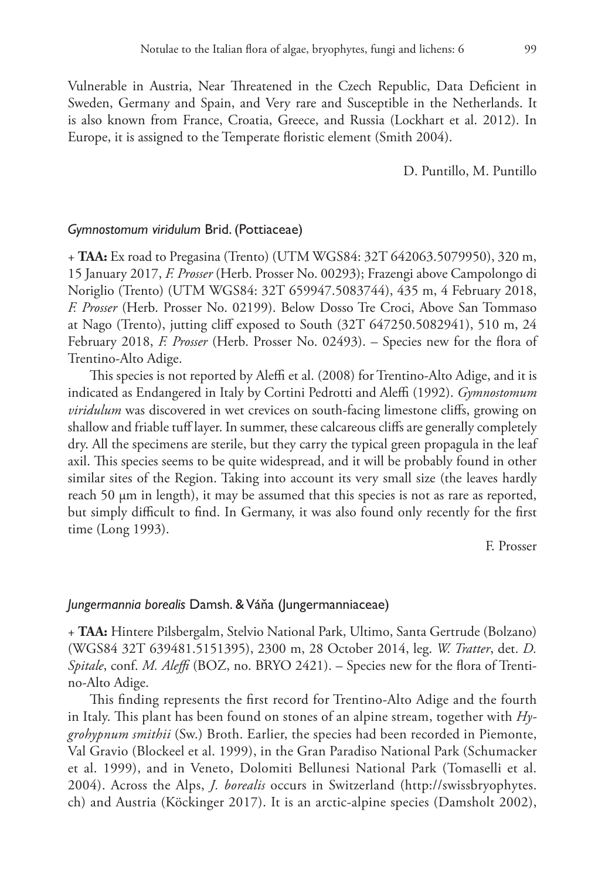Vulnerable in Austria, Near Threatened in the Czech Republic, Data Deficient in Sweden, Germany and Spain, and Very rare and Susceptible in the Netherlands. It is also known from France, Croatia, Greece, and Russia (Lockhart et al. 2012). In Europe, it is assigned to the Temperate floristic element (Smith 2004).

D. Puntillo, M. Puntillo

## *Gymnostomum viridulum* Brid. (Pottiaceae)

+ **TAA:** Ex road to Pregasina (Trento) (UTM WGS84: 32T 642063.5079950), 320 m, 15 January 2017, *F. Prosser* (Herb. Prosser No. 00293); Frazengi above Campolongo di Noriglio (Trento) (UTM WGS84: 32T 659947.5083744), 435 m, 4 February 2018, *F. Prosser* (Herb. Prosser No. 02199). Below Dosso Tre Croci, Above San Tommaso at Nago (Trento), jutting cliff exposed to South (32T 647250.5082941), 510 m, 24 February 2018, *F. Prosser* (Herb. Prosser No. 02493). – Species new for the flora of Trentino-Alto Adige.

This species is not reported by Aleffi et al. (2008) for Trentino-Alto Adige, and it is indicated as Endangered in Italy by Cortini Pedrotti and Aleffi (1992). *Gymnostomum viridulum* was discovered in wet crevices on south-facing limestone cliffs, growing on shallow and friable tuff layer. In summer, these calcareous cliffs are generally completely dry. All the specimens are sterile, but they carry the typical green propagula in the leaf axil. This species seems to be quite widespread, and it will be probably found in other similar sites of the Region. Taking into account its very small size (the leaves hardly reach 50  $\mu$ m in length), it may be assumed that this species is not as rare as reported, but simply difficult to find. In Germany, it was also found only recently for the first time (Long 1993).

F. Prosser

#### *Jungermannia borealis* Damsh. & Váňa (Jungermanniaceae)

+ **TAA:** Hintere Pilsbergalm, Stelvio National Park, Ultimo, Santa Gertrude (Bolzano) (WGS84 32T 639481.5151395), 2300 m, 28 October 2014, leg. *W. Tratter*, det. *D. Spitale*, conf. *M. Aleffi* (BOZ, no. BRYO 2421). – Species new for the flora of Trentino-Alto Adige.

This finding represents the first record for Trentino-Alto Adige and the fourth in Italy. This plant has been found on stones of an alpine stream, together with *Hygrohypnum smithii* (Sw.) Broth. Earlier, the species had been recorded in Piemonte, Val Gravio (Blockeel et al. 1999), in the Gran Paradiso National Park (Schumacker et al. 1999), and in Veneto, Dolomiti Bellunesi National Park (Tomaselli et al. 2004). Across the Alps, *J. borealis* occurs in Switzerland ([http://swissbryophytes.](http://swissbryophytes.ch) [ch\)](http://swissbryophytes.ch) and Austria (Köckinger 2017). It is an arctic-alpine species (Damsholt 2002),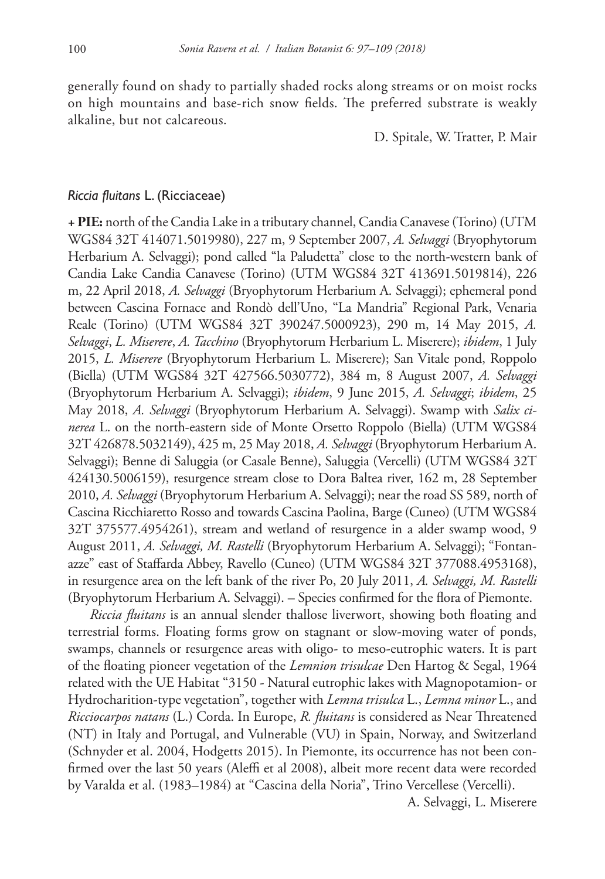generally found on shady to partially shaded rocks along streams or on moist rocks on high mountains and base-rich snow fields. The preferred substrate is weakly alkaline, but not calcareous.

D. Spitale, W. Tratter, P. Mair

# *Riccia fluitans* L. (Ricciaceae)

**+ PIE:** north of the Candia Lake in a tributary channel, Candia Canavese (Torino) (UTM WGS84 32T 414071.5019980), 227 m, 9 September 2007, *A. Selvaggi* (Bryophytorum Herbarium A. Selvaggi); pond called "la Paludetta" close to the north-western bank of Candia Lake Candia Canavese (Torino) (UTM WGS84 32T 413691.5019814), 226 m, 22 April 2018, *A. Selvaggi* (Bryophytorum Herbarium A. Selvaggi); ephemeral pond between Cascina Fornace and Rondò dell'Uno, "La Mandria" Regional Park, Venaria Reale (Torino) (UTM WGS84 32T 390247.5000923), 290 m, 14 May 2015, *A. Selvaggi*, *L. Miserere*, *A. Tacchino* (Bryophytorum Herbarium L. Miserere); *ibidem*, 1 July 2015, *L. Miserere* (Bryophytorum Herbarium L. Miserere); San Vitale pond, Roppolo (Biella) (UTM WGS84 32T 427566.5030772), 384 m, 8 August 2007, *A. Selvaggi* (Bryophytorum Herbarium A. Selvaggi); *ibidem*, 9 June 2015, *A. Selvaggi*; *ibidem*, 25 May 2018, *A. Selvaggi* (Bryophytorum Herbarium A. Selvaggi). Swamp with *Salix cinerea* L. on the north-eastern side of Monte Orsetto Roppolo (Biella) (UTM WGS84 32T 426878.5032149), 425 m, 25 May 2018, *A. Selvaggi* (Bryophytorum Herbarium A. Selvaggi); Benne di Saluggia (or Casale Benne), Saluggia (Vercelli) (UTM WGS84 32T 424130.5006159), resurgence stream close to Dora Baltea river, 162 m, 28 September 2010, *A. Selvaggi* (Bryophytorum Herbarium A. Selvaggi); near the road SS 589, north of Cascina Ricchiaretto Rosso and towards Cascina Paolina, Barge (Cuneo) (UTM WGS84 32T 375577.4954261), stream and wetland of resurgence in a alder swamp wood, 9 August 2011, *A. Selvaggi, M. Rastelli* (Bryophytorum Herbarium A. Selvaggi); "Fontanazze" east of Staffarda Abbey, Ravello (Cuneo) (UTM WGS84 32T 377088.4953168), in resurgence area on the left bank of the river Po, 20 July 2011, *A. Selvaggi, M. Rastelli* (Bryophytorum Herbarium A. Selvaggi). – Species confirmed for the flora of Piemonte.

*Riccia fluitans* is an annual slender thallose liverwort, showing both floating and terrestrial forms. Floating forms grow on stagnant or slow-moving water of ponds, swamps, channels or resurgence areas with oligo- to meso-eutrophic waters. It is part of the floating pioneer vegetation of the *Lemnion trisulcae* Den Hartog & Segal, 1964 related with the UE Habitat "3150 - Natural eutrophic lakes with Magnopotamion- or Hydrocharition-type vegetation", together with *Lemna trisulca* L., *Lemna minor* L., and *Ricciocarpos natans* (L.) Corda. In Europe, *R. fluitans* is considered as Near Threatened (NT) in Italy and Portugal, and Vulnerable (VU) in Spain, Norway, and Switzerland (Schnyder et al. 2004, Hodgetts 2015). In Piemonte, its occurrence has not been confirmed over the last 50 years (Aleffi et al 2008), albeit more recent data were recorded by Varalda et al. (1983–1984) at "Cascina della Noria", Trino Vercellese (Vercelli).

A. Selvaggi, L. Miserere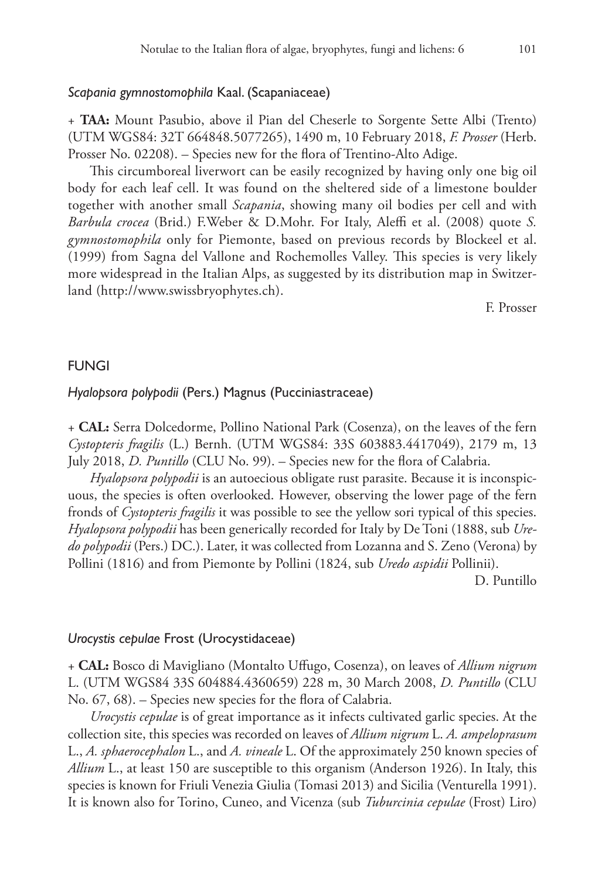## *Scapania gymnostomophila* Kaal. (Scapaniaceae)

+ **TAA:** Mount Pasubio, above il Pian del Cheserle to Sorgente Sette Albi (Trento) (UTM WGS84: 32T 664848.5077265), 1490 m, 10 February 2018, *F. Prosser* (Herb. Prosser No. 02208). – Species new for the flora of Trentino-Alto Adige.

This circumboreal liverwort can be easily recognized by having only one big oil body for each leaf cell. It was found on the sheltered side of a limestone boulder together with another small *Scapania*, showing many oil bodies per cell and with *Barbula crocea* (Brid.) F.Weber & D.Mohr. For Italy, Aleffi et al. (2008) quote *S. gymnostomophila* only for Piemonte, based on previous records by Blockeel et al. (1999) from Sagna del Vallone and Rochemolles Valley. This species is very likely more widespread in the Italian Alps, as suggested by its distribution map in Switzerland (<http://www.swissbryophytes.ch>).

F. Prosser

#### FUNGI

# *Hyalopsora polypodii* (Pers.) Magnus (Pucciniastraceae)

+ **CAL:** Serra Dolcedorme, Pollino National Park (Cosenza), on the leaves of the fern *Cystopteris fragilis* (L.) Bernh. (UTM WGS84: 33S 603883.4417049), 2179 m, 13 July 2018, *D. Puntillo* (CLU No. 99). – Species new for the flora of Calabria.

*Hyalopsora polypodii* is an autoecious obligate rust parasite. Because it is inconspicuous, the species is often overlooked. However, observing the lower page of the fern fronds of *Cystopteris fragilis* it was possible to see the yellow sori typical of this species. *Hyalopsora polypodii* has been generically recorded for Italy by De Toni (1888, sub *Uredo polypodii* (Pers.) DC.). Later, it was collected from Lozanna and S. Zeno (Verona) by Pollini (1816) and from Piemonte by Pollini (1824, sub *Uredo aspidii* Pollinii).

D. Puntillo

#### *Urocystis cepulae* Frost (Urocystidaceae)

+ **CAL:** Bosco di Mavigliano (Montalto Uffugo, Cosenza), on leaves of *Allium nigrum* L. (UTM WGS84 33S 604884.4360659) 228 m, 30 March 2008, *D. Puntillo* (CLU No. 67, 68). – Species new species for the flora of Calabria.

*Urocystis cepulae* is of great importance as it infects cultivated garlic species. At the collection site, this species was recorded on leaves of *Allium nigrum* L. *A. ampeloprasum* L., *A. sphaerocephalon* L., and *A. vineale* L. Of the approximately 250 known species of *Allium* L., at least 150 are susceptible to this organism (Anderson 1926). In Italy, this species is known for Friuli Venezia Giulia (Tomasi 2013) and Sicilia (Venturella 1991). It is known also for Torino, Cuneo, and Vicenza (sub *Tuburcinia cepulae* (Frost) Liro)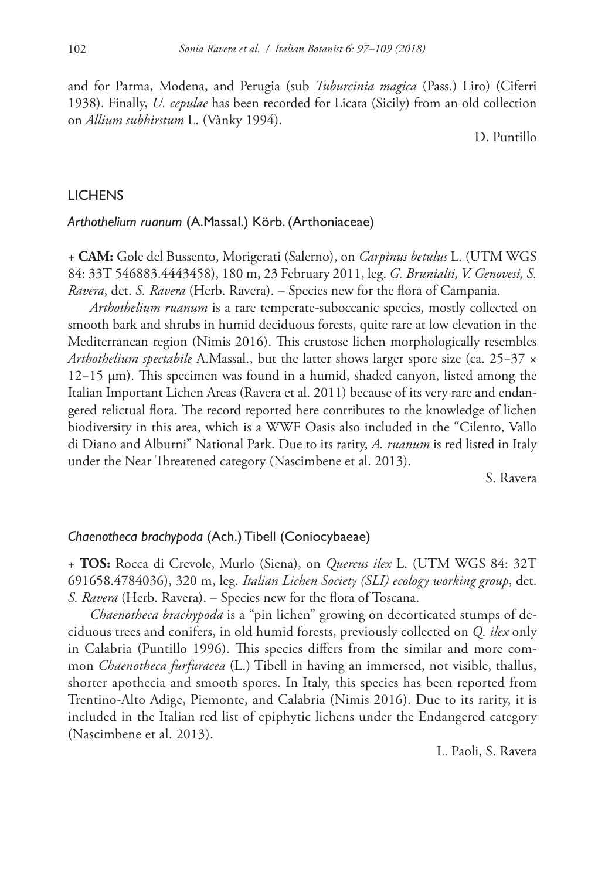and for Parma, Modena, and Perugia (sub *Tuburcinia magica* (Pass.) Liro) (Ciferri 1938). Finally, *U. cepulae* has been recorded for Licata (Sicily) from an old collection on *Allium subhirstum* L. (Vànky 1994).

D. Puntillo

# **LICHENS**

# *Arthothelium ruanum* (A.Massal.) Körb. (Arthoniaceae)

+ **CAM:** Gole del Bussento, Morigerati (Salerno), on *Carpinus betulus* L. (UTM WGS 84: 33T 546883.4443458), 180 m, 23 February 2011, leg. *G. Brunialti, V. Genovesi, S. Ravera*, det. *S. Ravera* (Herb. Ravera). – Species new for the flora of Campania.

*Arthothelium ruanum* is a rare temperate-suboceanic species, mostly collected on smooth bark and shrubs in humid deciduous forests, quite rare at low elevation in the Mediterranean region (Nimis 2016). This crustose lichen morphologically resembles *Arthothelium spectabile* A.Massal., but the latter shows larger spore size (ca. 25−37 × 12−15 µm). This specimen was found in a humid, shaded canyon, listed among the Italian Important Lichen Areas (Ravera et al. 2011) because of its very rare and endangered relictual flora. The record reported here contributes to the knowledge of lichen biodiversity in this area, which is a WWF Oasis also included in the "Cilento, Vallo di Diano and Alburni" National Park. Due to its rarity, *A. ruanum* is red listed in Italy under the Near Threatened category (Nascimbene et al. 2013).

S. Ravera

#### *Chaenotheca brachypoda* (Ach.) Tibell (Coniocybaeae)

+ **TOS:** Rocca di Crevole, Murlo (Siena), on *Quercus ilex* L. (UTM WGS 84: 32T 691658.4784036), 320 m, leg. *Italian Lichen Society (SLI) ecology working group*, det. *S. Ravera* (Herb. Ravera). – Species new for the flora of Toscana.

*Chaenotheca brachypoda* is a "pin lichen" growing on decorticated stumps of deciduous trees and conifers, in old humid forests, previously collected on *Q. ilex* only in Calabria (Puntillo 1996). This species differs from the similar and more common *Chaenotheca furfuracea* (L.) Tibell in having an immersed, not visible, thallus, shorter apothecia and smooth spores. In Italy, this species has been reported from Trentino-Alto Adige, Piemonte, and Calabria (Nimis 2016). Due to its rarity, it is included in the Italian red list of epiphytic lichens under the Endangered category (Nascimbene et al. 2013).

L. Paoli, S. Ravera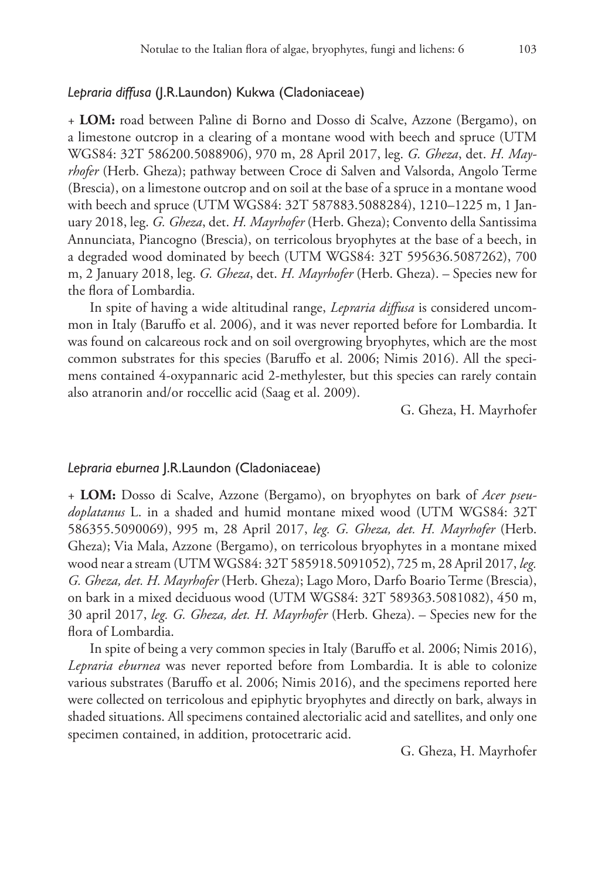# *Lepraria diffusa* (J.R.Laundon) Kukwa (Cladoniaceae)

+ **LOM:** road between Palìne di Borno and Dosso di Scalve, Azzone (Bergamo), on a limestone outcrop in a clearing of a montane wood with beech and spruce (UTM WGS84: 32T 586200.5088906), 970 m, 28 April 2017, leg. *G. Gheza*, det. *H. Mayrhofer* (Herb. Gheza); pathway between Croce di Salven and Valsorda, Angolo Terme (Brescia), on a limestone outcrop and on soil at the base of a spruce in a montane wood with beech and spruce (UTM WGS84: 32T 587883.5088284), 1210–1225 m, 1 January 2018, leg. *G. Gheza*, det. *H. Mayrhofer* (Herb. Gheza); Convento della Santissima Annunciata, Piancogno (Brescia), on terricolous bryophytes at the base of a beech, in a degraded wood dominated by beech (UTM WGS84: 32T 595636.5087262), 700 m, 2 January 2018, leg. *G. Gheza*, det. *H. Mayrhofer* (Herb. Gheza). – Species new for the flora of Lombardia.

In spite of having a wide altitudinal range, *Lepraria diffusa* is considered uncommon in Italy (Baruffo et al. 2006), and it was never reported before for Lombardia. It was found on calcareous rock and on soil overgrowing bryophytes, which are the most common substrates for this species (Baruffo et al. 2006; Nimis 2016). All the specimens contained 4-oxypannaric acid 2-methylester, but this species can rarely contain also atranorin and/or roccellic acid (Saag et al. 2009).

G. Gheza, H. Mayrhofer

## *Lepraria eburnea* J.R.Laundon (Cladoniaceae)

+ **LOM:** Dosso di Scalve, Azzone (Bergamo), on bryophytes on bark of *Acer pseudoplatanus* L. in a shaded and humid montane mixed wood (UTM WGS84: 32T 586355.5090069), 995 m, 28 April 2017, *leg. G. Gheza, det. H. Mayrhofer* (Herb. Gheza); Via Mala, Azzone (Bergamo), on terricolous bryophytes in a montane mixed wood near a stream (UTM WGS84: 32T 585918.5091052), 725 m, 28 April 2017, *leg. G. Gheza, det. H. Mayrhofer* (Herb. Gheza); Lago Moro, Darfo Boario Terme (Brescia), on bark in a mixed deciduous wood (UTM WGS84: 32T 589363.5081082), 450 m, 30 april 2017, *leg. G. Gheza, det. H. Mayrhofer* (Herb. Gheza). – Species new for the flora of Lombardia.

In spite of being a very common species in Italy (Baruffo et al. 2006; Nimis 2016), *Lepraria eburnea* was never reported before from Lombardia. It is able to colonize various substrates (Baruffo et al. 2006; Nimis 2016), and the specimens reported here were collected on terricolous and epiphytic bryophytes and directly on bark, always in shaded situations. All specimens contained alectorialic acid and satellites, and only one specimen contained, in addition, protocetraric acid.

G. Gheza, H. Mayrhofer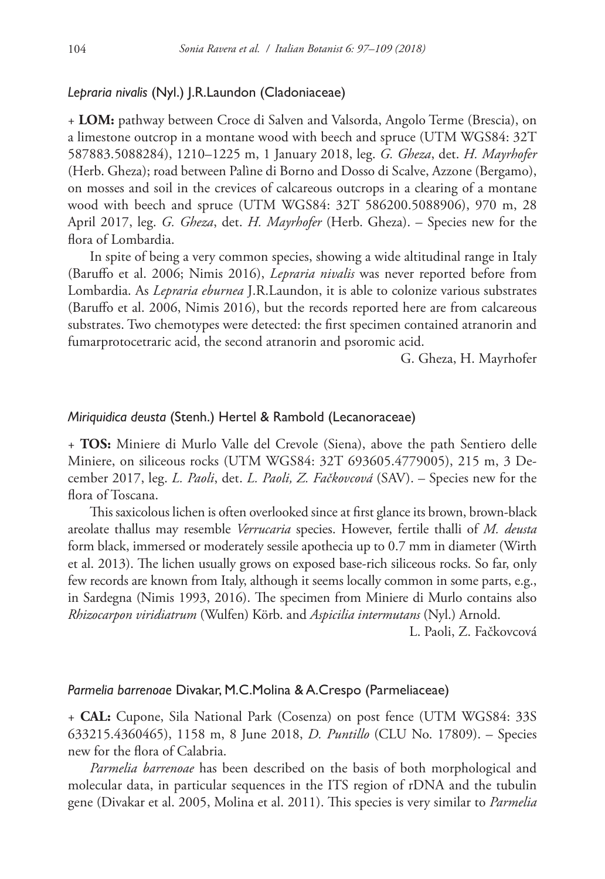# *Lepraria nivalis* (Nyl.) J.R.Laundon (Cladoniaceae)

+ **LOM:** pathway between Croce di Salven and Valsorda, Angolo Terme (Brescia), on a limestone outcrop in a montane wood with beech and spruce (UTM WGS84: 32T 587883.5088284), 1210–1225 m, 1 January 2018, leg. *G. Gheza*, det. *H. Mayrhofer* (Herb. Gheza); road between Palìne di Borno and Dosso di Scalve, Azzone (Bergamo), on mosses and soil in the crevices of calcareous outcrops in a clearing of a montane wood with beech and spruce (UTM WGS84: 32T 586200.5088906), 970 m, 28 April 2017, leg. *G. Gheza*, det. *H. Mayrhofer* (Herb. Gheza). – Species new for the flora of Lombardia.

In spite of being a very common species, showing a wide altitudinal range in Italy (Baruffo et al. 2006; Nimis 2016), *Lepraria nivalis* was never reported before from Lombardia. As *Lepraria eburnea* J.R.Laundon, it is able to colonize various substrates (Baruffo et al. 2006, Nimis 2016), but the records reported here are from calcareous substrates. Two chemotypes were detected: the first specimen contained atranorin and fumarprotocetraric acid, the second atranorin and psoromic acid.

G. Gheza, H. Mayrhofer

# *Miriquidica deusta* (Stenh.) Hertel & Rambold (Lecanoraceae)

+ **TOS:** Miniere di Murlo Valle del Crevole (Siena), above the path Sentiero delle Miniere, on siliceous rocks (UTM WGS84: 32T 693605.4779005), 215 m, 3 December 2017, leg. *L. Paoli*, det. *L. Paoli, Z. Fačkovcová* (SAV). – Species new for the flora of Toscana.

This saxicolous lichen is often overlooked since at first glance its brown, brown-black areolate thallus may resemble *Verrucaria* species. However, fertile thalli of *M. deusta* form black, immersed or moderately sessile apothecia up to 0.7 mm in diameter (Wirth et al. 2013). The lichen usually grows on exposed base-rich siliceous rocks. So far, only few records are known from Italy, although it seems locally common in some parts, e.g., in Sardegna (Nimis 1993, 2016). The specimen from Miniere di Murlo contains also *Rhizocarpon viridiatrum* (Wulfen) Körb. and *Aspicilia intermutans* (Nyl.) Arnold.

L. Paoli, Z. Fačkovcová

## *Parmelia barrenoae* Divakar, M.C.Molina & A.Crespo (Parmeliaceae)

+ **CAL:** Cupone, Sila National Park (Cosenza) on post fence (UTM WGS84: 33S 633215.4360465), 1158 m, 8 June 2018, *D. Puntillo* (CLU No. 17809). – Species new for the flora of Calabria.

*Parmelia barrenoae* has been described on the basis of both morphological and molecular data, in particular sequences in the ITS region of rDNA and the tubulin gene (Divakar et al. 2005, Molina et al. 2011). This species is very similar to *Parmelia*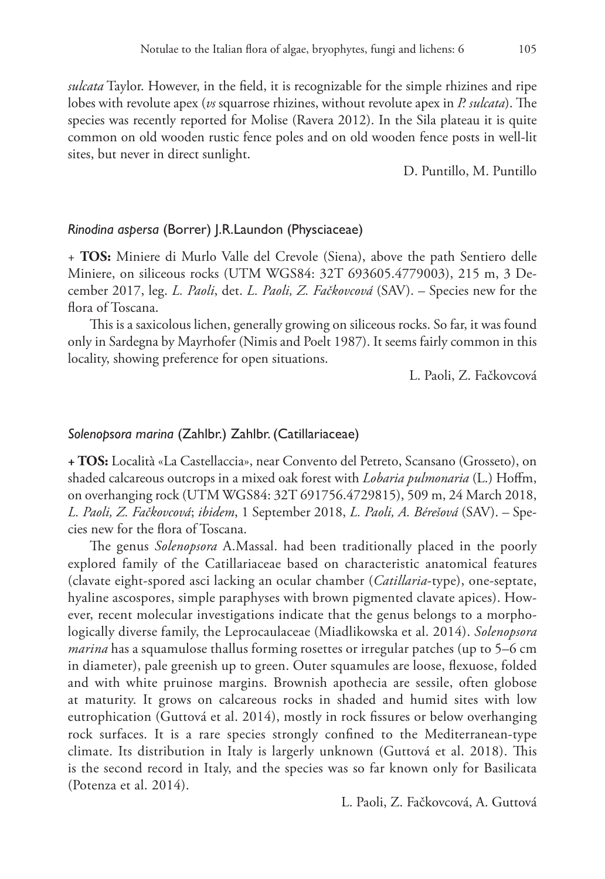*sulcata* Taylor. However, in the field, it is recognizable for the simple rhizines and ripe lobes with revolute apex (*vs* squarrose rhizines, without revolute apex in *P. sulcata*). The species was recently reported for Molise (Ravera 2012). In the Sila plateau it is quite common on old wooden rustic fence poles and on old wooden fence posts in well-lit sites, but never in direct sunlight.

D. Puntillo, M. Puntillo

# *Rinodina aspersa* (Borrer) J.R.Laundon (Physciaceae)

+ **TOS:** Miniere di Murlo Valle del Crevole (Siena), above the path Sentiero delle Miniere, on siliceous rocks (UTM WGS84: 32T 693605.4779003), 215 m, 3 December 2017, leg. *L. Paoli*, det. *L. Paoli, Z. Fačkovcová* (SAV). – Species new for the flora of Toscana.

This is a saxicolous lichen, generally growing on siliceous rocks. So far, it was found only in Sardegna by Mayrhofer (Nimis and Poelt 1987). It seems fairly common in this locality, showing preference for open situations.

L. Paoli, Z. Fačkovcová

# *Solenopsora marina* (Zahlbr.) Zahlbr. (Catillariaceae)

**+ TOS:** Località «La Castellaccia», near Convento del Petreto, Scansano (Grosseto), on shaded calcareous outcrops in a mixed oak forest with *Lobaria pulmonaria* (L.) Hoffm, on overhanging rock (UTM WGS84: 32T 691756.4729815), 509 m, 24 March 2018, *L. Paoli, Z. Fačkovcová*; *ibidem*, 1 September 2018, *L. Paoli, A. Bérešová* (SAV). – Species new for the flora of Toscana.

The genus *Solenopsora* A.Massal. had been traditionally placed in the poorly explored family of the Catillariaceae based on characteristic anatomical features (clavate eight-spored asci lacking an ocular chamber (*Catillaria*-type), one-septate, hyaline ascospores, simple paraphyses with brown pigmented clavate apices). However, recent molecular investigations indicate that the genus belongs to a morphologically diverse family, the Leprocaulaceae (Miadlikowska et al. 2014). *Solenopsora marina* has a squamulose thallus forming rosettes or irregular patches (up to 5–6 cm in diameter), pale greenish up to green. Outer squamules are loose, flexuose, folded and with white pruinose margins. Brownish apothecia are sessile, often globose at maturity. It grows on calcareous rocks in shaded and humid sites with low eutrophication (Guttová et al. 2014), mostly in rock fissures or below overhanging rock surfaces. It is a rare species strongly confined to the Mediterranean-type climate. Its distribution in Italy is largerly unknown (Guttová et al. 2018). This is the second record in Italy, and the species was so far known only for Basilicata (Potenza et al. 2014).

L. Paoli, Z. Fačkovcová, A. Guttová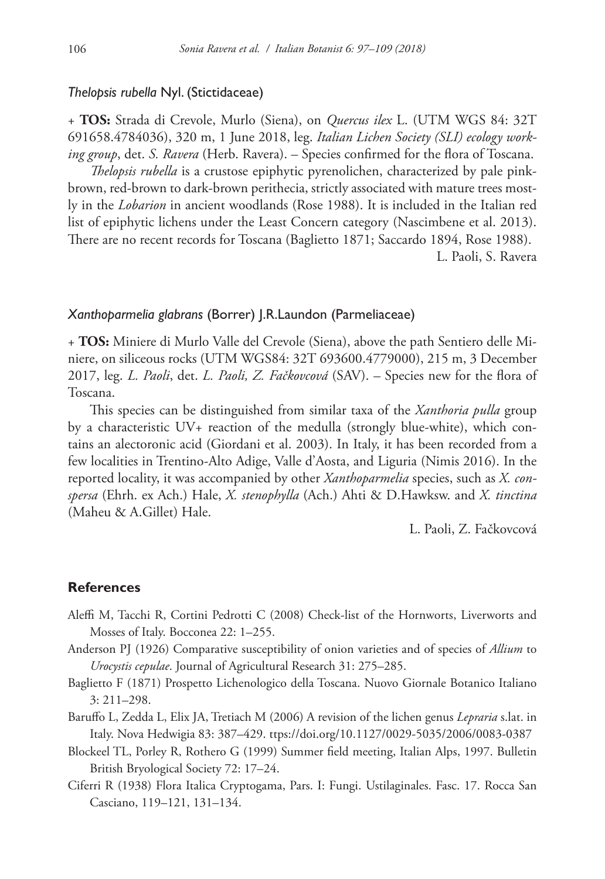#### *Thelopsis rubella* Nyl. (Stictidaceae)

+ **TOS:** Strada di Crevole, Murlo (Siena), on *Quercus ilex* L. (UTM WGS 84: 32T 691658.4784036), 320 m, 1 June 2018, leg. *Italian Lichen Society (SLI) ecology working group*, det. *S. Ravera* (Herb. Ravera). – Species confirmed for the flora of Toscana.

*Thelopsis rubella* is a crustose epiphytic pyrenolichen, characterized by pale pinkbrown, red-brown to dark-brown perithecia, strictly associated with mature trees mostly in the *Lobarion* in ancient woodlands (Rose 1988). It is included in the Italian red list of epiphytic lichens under the Least Concern category (Nascimbene et al. 2013). There are no recent records for Toscana (Baglietto 1871; Saccardo 1894, Rose 1988). L. Paoli, S. Ravera

#### *Xanthoparmelia glabrans* (Borrer) J.R.Laundon (Parmeliaceae)

+ **TOS:** Miniere di Murlo Valle del Crevole (Siena), above the path Sentiero delle Miniere, on siliceous rocks (UTM WGS84: 32T 693600.4779000), 215 m, 3 December 2017, leg. *L. Paoli*, det. *L. Paoli, Z. Fačkovcová* (SAV). – Species new for the flora of Toscana.

This species can be distinguished from similar taxa of the *Xanthoria pulla* group by a characteristic UV+ reaction of the medulla (strongly blue-white), which contains an alectoronic acid (Giordani et al. 2003). In Italy, it has been recorded from a few localities in Trentino-Alto Adige, Valle d'Aosta, and Liguria (Nimis 2016). In the reported locality, it was accompanied by other *Xanthoparmelia* species, such as *X. conspersa* (Ehrh. ex Ach.) Hale, *X. stenophylla* (Ach.) Ahti & D.Hawksw. and *X. tinctina* (Maheu & A.Gillet) Hale.

L. Paoli, Z. Fačkovcová

# **References**

- Aleffi M, Tacchi R, Cortini Pedrotti C (2008) Check-list of the Hornworts, Liverworts and Mosses of Italy. Bocconea 22: 1–255.
- Anderson PJ (1926) Comparative susceptibility of onion varieties and of species of *Allium* to *Urocystis cepulae*. Journal of Agricultural Research 31: 275–285.
- Baglietto F (1871) Prospetto Lichenologico della Toscana. Nuovo Giornale Botanico Italiano 3: 211–298.
- Baruffo L, Zedda L, Elix JA, Tretiach M (2006) A revision of the lichen genus *Lepraria* s.lat. in Italy. Nova Hedwigia 83: 387–429. ttps://doi.org/10.1127/0029-5035/2006/0083-0387
- Blockeel TL, Porley R, Rothero G (1999) Summer field meeting, Italian Alps, 1997. Bulletin British Bryological Society 72: 17–24.
- Ciferri R (1938) Flora Italica Cryptogama, Pars. I: Fungi. Ustilaginales. Fasc. 17. Rocca San Casciano, 119–121, 131–134.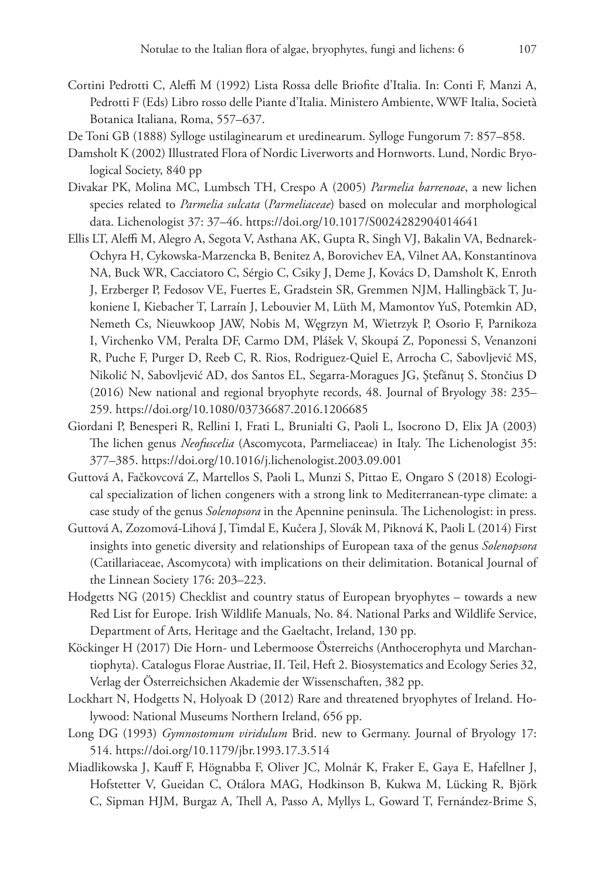- Cortini Pedrotti C, Aleffi M (1992) Lista Rossa delle Briofite d'Italia. In: Conti F, Manzi A, Pedrotti F (Eds) Libro rosso delle Piante d'Italia. Ministero Ambiente, WWF Italia, Società Botanica Italiana, Roma, 557–637.
- De Toni GB (1888) Sylloge ustilaginearum et uredinearum. Sylloge Fungorum 7: 857–858.
- Damsholt K (2002) Illustrated Flora of Nordic Liverworts and Hornworts. Lund, Nordic Bryological Society, 840 pp
- Divakar PK, Molina MC, Lumbsch TH, Crespo A (2005) *Parmelia barrenoae*, a new lichen species related to *Parmelia sulcata* (*Parmeliaceae*) based on molecular and morphological data. Lichenologist 37: 37–46.<https://doi.org/10.1017/S0024282904014641>
- Ellis LT, Aleffi M, Alegro A, Segota V, Asthana AK, Gupta R, Singh VJ, Bakalin VA, Bednarek-Ochyra H, Cykowska-Marzencka B, Benitez A, Borovichev EA, Vilnet AA, Konstantinova NA, Buck WR, Cacciatoro C, Sérgio C, Csiky J, Deme J, Kovács D, Damsholt K, Enroth J, Erzberger P, Fedosov VE, Fuertes E, Gradstein SR, Gremmen NJM, Hallingbäck T, Jukoniene I, Kiebacher T, Larraín J, Lebouvier M, Lüth M, Mamontov YuS, Potemkin AD, Nemeth Cs, Nieuwkoop JAW, Nobis M, Węgrzyn M, Wietrzyk P, Osorio F, Parnikoza I, Virchenko VM, Peralta DF, Carmo DM, Plášek V, Skoupá Z, Poponessi S, Venanzoni R, Puche F, Purger D, Reeb C, R. Rios, Rodriguez-Quiel E, Arrocha C, Sabovljević MS, Nikolić N, Sabovljević AD, dos Santos EL, Segarra-Moragues JG, Ştefănuţ S, Stončius D (2016) New national and regional bryophyte records, 48. Journal of Bryology 38: 235– 259.<https://doi.org/10.1080/03736687.2016.1206685>
- Giordani P, Benesperi R, Rellini I, Frati L, Brunialti G, Paoli L, Isocrono D, Elix JA (2003) The lichen genus *Neofuscelia* (Ascomycota, Parmeliaceae) in Italy. The Lichenologist 35: 377–385.<https://doi.org/10.1016/j.lichenologist.2003.09.001>
- Guttová A, Fačkovcová Z, Martellos S, Paoli L, Munzi S, Pittao E, Ongaro S (2018) Ecological specialization of lichen congeners with a strong link to Mediterranean-type climate: a case study of the genus *Solenopsora* in the Apennine peninsula. The Lichenologist: in press.
- Guttová A, Zozomová-Lihová J, Timdal E, Kučera J, Slovák M, Piknová K, Paoli L (2014) First insights into genetic diversity and relationships of European taxa of the genus *Solenopsora* (Catillariaceae, Ascomycota) with implications on their delimitation. Botanical Journal of the Linnean Society 176: 203–223.
- Hodgetts NG (2015) Checklist and country status of European bryophytes towards a new Red List for Europe. Irish Wildlife Manuals, No. 84. National Parks and Wildlife Service, Department of Arts, Heritage and the Gaeltacht, Ireland, 130 pp.
- Köckinger H (2017) Die Horn- und Lebermoose Österreichs (Anthocerophyta und Marchantiophyta). Catalogus Florae Austriae, II. Teil, Heft 2. Biosystematics and Ecology Series 32, Verlag der Österreichsichen Akademie der Wissenschaften, 382 pp.
- Lockhart N, Hodgetts N, Holyoak D (2012) Rare and threatened bryophytes of Ireland. Holywood: National Museums Northern Ireland, 656 pp.
- Long DG (1993) *Gymnostomum viridulum* Brid. new to Germany. Journal of Bryology 17: 514.<https://doi.org/10.1179/jbr.1993.17.3.514>
- Miadlikowska J, Kauff F, Högnabba F, Oliver JC, Molnár K, Fraker E, Gaya E, Hafellner J, Hofstetter V, Gueidan C, Otálora MAG, Hodkinson B, Kukwa M, Lücking R, Björk C, Sipman HJM, Burgaz A, Thell A, Passo A, Myllys L, Goward T, Fernández-Brime S,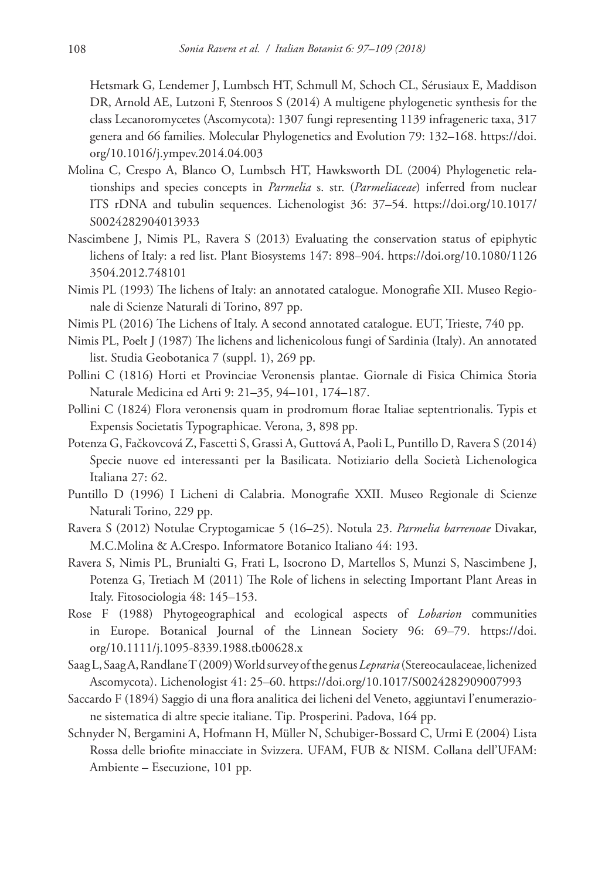Hetsmark G, Lendemer J, Lumbsch HT, Schmull M, Schoch CL, Sérusiaux E, Maddison DR, Arnold AE, Lutzoni F, Stenroos S (2014) A multigene phylogenetic synthesis for the class Lecanoromycetes (Ascomycota): 1307 fungi representing 1139 infrageneric taxa, 317 genera and 66 families. Molecular Phylogenetics and Evolution 79: 132–168. [https://doi.](https://doi.org/10.1016/j.ympev.2014.04.003) [org/10.1016/j.ympev.2014.04.003](https://doi.org/10.1016/j.ympev.2014.04.003)

- Molina C, Crespo A, Blanco O, Lumbsch HT, Hawksworth DL (2004) Phylogenetic relationships and species concepts in *Parmelia* s. str. (*Parmeliaceae*) inferred from nuclear ITS rDNA and tubulin sequences. Lichenologist 36: 37–54. [https://doi.org/10.1017/](https://doi.org/10.1017/S0024282904013933) [S0024282904013933](https://doi.org/10.1017/S0024282904013933)
- Nascimbene J, Nimis PL, Ravera S (2013) Evaluating the conservation status of epiphytic lichens of Italy: a red list. Plant Biosystems 147: 898–904. [https://doi.org/10.1080/1126](https://doi.org/10.1080/11263504.2012.748101) [3504.2012.748101](https://doi.org/10.1080/11263504.2012.748101)
- Nimis PL (1993) The lichens of Italy: an annotated catalogue. Monografie XII. Museo Regionale di Scienze Naturali di Torino, 897 pp.
- Nimis PL (2016) The Lichens of Italy. A second annotated catalogue. EUT, Trieste, 740 pp.
- Nimis PL, Poelt J (1987) The lichens and lichenicolous fungi of Sardinia (Italy). An annotated list. Studia Geobotanica 7 (suppl. 1), 269 pp.
- Pollini C (1816) Horti et Provinciae Veronensis plantae. Giornale di Fisica Chimica Storia Naturale Medicina ed Arti 9: 21–35, 94–101, 174–187.
- Pollini C (1824) Flora veronensis quam in prodromum florae Italiae septentrionalis. Typis et Expensis Societatis Typographicae. Verona, 3, 898 pp.
- Potenza G, Fačkovcová Z, Fascetti S, Grassi A, Guttová A, Paoli L, Puntillo D, Ravera S (2014) Specie nuove ed interessanti per la Basilicata. Notiziario della Società Lichenologica Italiana 27: 62.
- Puntillo D (1996) I Licheni di Calabria. Monografie XXII. Museo Regionale di Scienze Naturali Torino, 229 pp.
- Ravera S (2012) Notulae Cryptogamicae 5 (16–25). Notula 23. *Parmelia barrenoae* Divakar, M.C.Molina & A.Crespo. Informatore Botanico Italiano 44: 193.
- Ravera S, Nimis PL, Brunialti G, Frati L, Isocrono D, Martellos S, Munzi S, Nascimbene J, Potenza G, Tretiach M (2011) The Role of lichens in selecting Important Plant Areas in Italy. Fitosociologia 48: 145–153.
- Rose F (1988) Phytogeographical and ecological aspects of *Lobarion* communities in Europe. Botanical Journal of the Linnean Society 96: 69–79. [https://doi.](https://doi.org/10.1111/j.1095-8339.1988.tb00628.x) [org/10.1111/j.1095-8339.1988.tb00628.x](https://doi.org/10.1111/j.1095-8339.1988.tb00628.x)
- Saag L, Saag A, Randlane T (2009) World survey of the genus *Lepraria* (Stereocaulaceae, lichenized Ascomycota). Lichenologist 41: 25–60. <https://doi.org/10.1017/S0024282909007993>
- Saccardo F (1894) Saggio di una flora analitica dei licheni del Veneto, aggiuntavi l'enumerazione sistematica di altre specie italiane. Tip. Prosperini. Padova, 164 pp.
- Schnyder N, Bergamini A, Hofmann H, Müller N, Schubiger-Bossard C, Urmi E (2004) Lista Rossa delle briofite minacciate in Svizzera. UFAM, FUB & NISM. Collana dell'UFAM: Ambiente – Esecuzione, 101 pp.